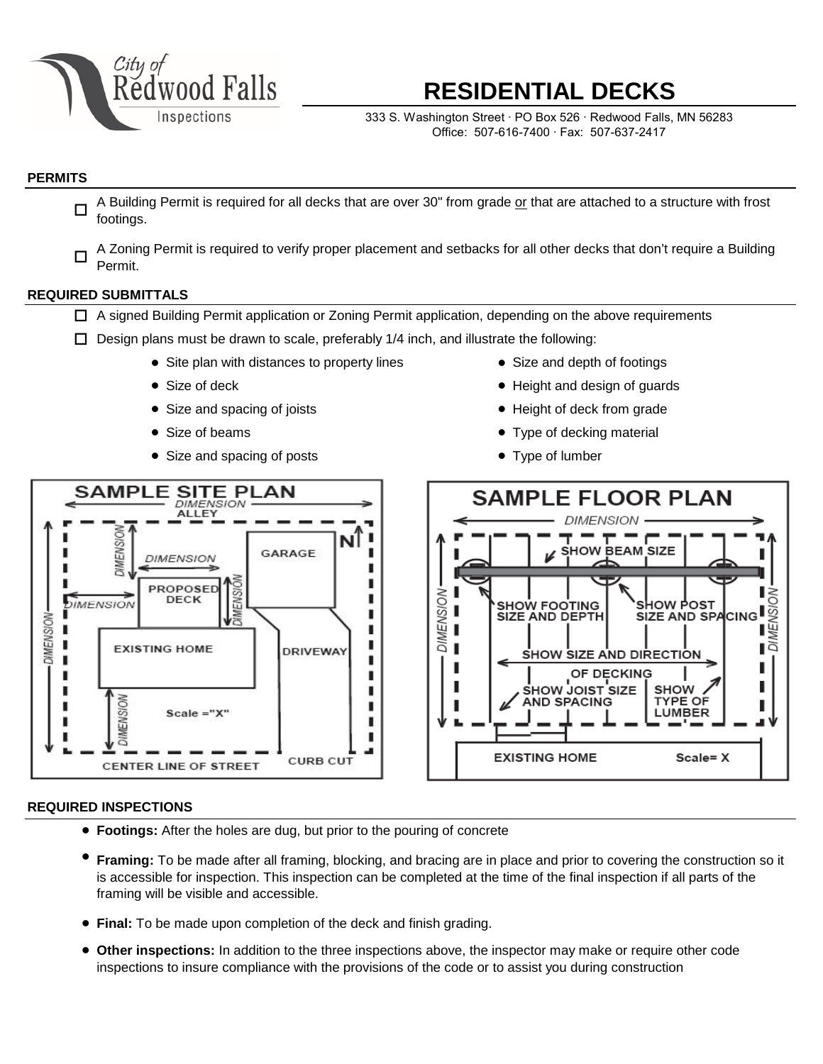

# **RESIDENTIAL DECKS**

333 S. Washington Street ∙ PO Box 526 ∙ Redwood Falls, MN 56283 Office: 507-616-7400 ∙ Fax: 507-637-2417

## **PERMITS**

- A Building Permit is required for all decks that are over 30" from grade or that are attached to a structure with frost footings. □
- A Zoning Permit is required to verify proper placement and setbacks for all other decks that don't require a Building Permit.  $\Box$

## **REQUIRED SUBMITTALS**

- A signed Building Permit application or Zoning Permit application, depending on the above requirements
- $\square$  Design plans must be drawn to scale, preferably 1/4 inch, and illustrate the following:
	- $\bullet$  Site plan with distances to property lines  $\bullet$
	- Size of deck ●
	- Size and spacing of joists
	- Size of beams
	- Size and spacing of posts
- **SAMPLE SITE PLAN ALLEY** DIMENSION Nl GARAGE **DIMENSION** п PROPOSED MENSIC r DECK DIMENSION п ı п × ı **EXISTING HOME DRIVEWAY** л ٠ ı п Ï п **WENSION** ī ×  $Scale = "X"$ п п J. **CURB CUT CENTER LINE OF STREET**

## • Size and depth of footings

- Height and design of guards
- Height of deck from grade
- Type of decking material
- Type of lumber



#### **REQUIRED INSPECTIONS**

DIMENSION-

- **Footings:** After the holes are dug, but prior to the pouring of concrete
- **Framing:** To be made after all framing, blocking, and bracing are in place and prior to covering the construction so it is accessible for inspection. This inspection can be completed at the time of the final inspection if all parts of the framing will be visible and accessible.
- **Final:** To be made upon completion of the deck and finish grading.
- **Other inspections:** In addition to the three inspections above, the inspector may make or require other code inspections to insure compliance with the provisions of the code or to assist you during construction